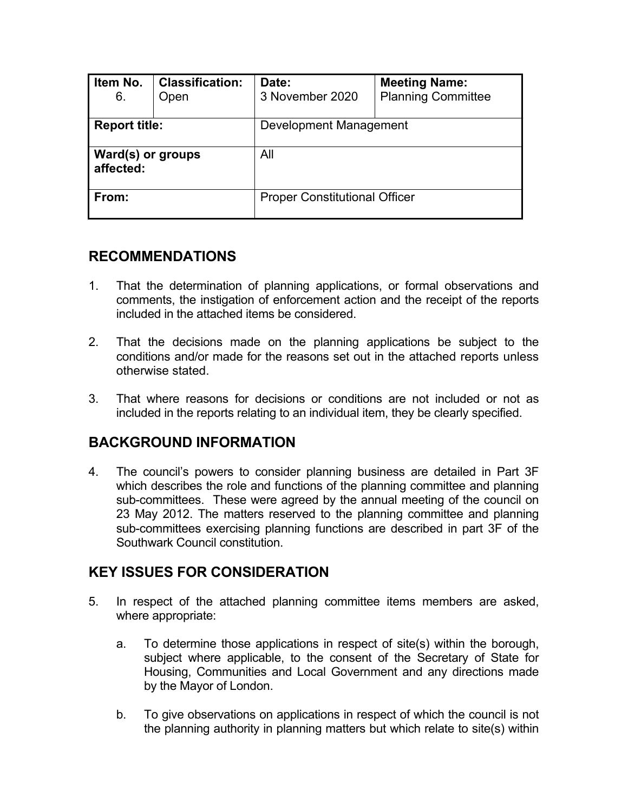| Item No.<br>6.                 | <b>Classification:</b><br>Open | <b>Meeting Name:</b><br>Date:<br><b>Planning Committee</b><br>3 November 2020 |  |  |  |  |
|--------------------------------|--------------------------------|-------------------------------------------------------------------------------|--|--|--|--|
| <b>Report title:</b>           |                                | Development Management                                                        |  |  |  |  |
| Ward(s) or groups<br>affected: |                                | All                                                                           |  |  |  |  |
| From:                          |                                | <b>Proper Constitutional Officer</b>                                          |  |  |  |  |

#### **RECOMMENDATIONS**

- 1. That the determination of planning applications, or formal observations and comments, the instigation of enforcement action and the receipt of the reports included in the attached items be considered.
- 2. That the decisions made on the planning applications be subject to the conditions and/or made for the reasons set out in the attached reports unless otherwise stated.
- 3. That where reasons for decisions or conditions are not included or not as included in the reports relating to an individual item, they be clearly specified.

### **BACKGROUND INFORMATION**

4. The council's powers to consider planning business are detailed in Part 3F which describes the role and functions of the planning committee and planning sub-committees. These were agreed by the annual meeting of the council on 23 May 2012. The matters reserved to the planning committee and planning sub-committees exercising planning functions are described in part 3F of the Southwark Council constitution.

## **KEY ISSUES FOR CONSIDERATION**

- 5. In respect of the attached planning committee items members are asked, where appropriate:
	- a. To determine those applications in respect of site(s) within the borough, subject where applicable, to the consent of the Secretary of State for Housing, Communities and Local Government and any directions made by the Mayor of London.
	- b. To give observations on applications in respect of which the council is not the planning authority in planning matters but which relate to site(s) within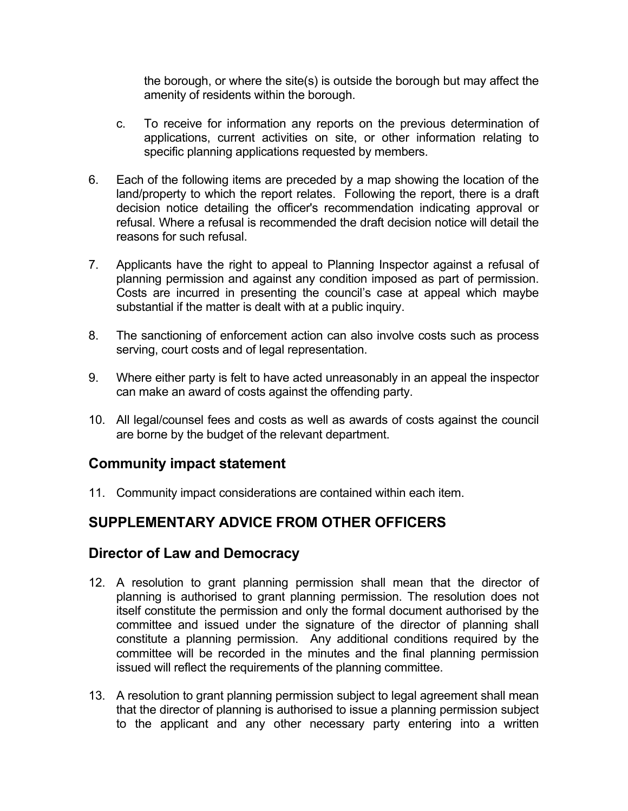the borough, or where the site(s) is outside the borough but may affect the amenity of residents within the borough.

- c. To receive for information any reports on the previous determination of applications, current activities on site, or other information relating to specific planning applications requested by members.
- 6. Each of the following items are preceded by a map showing the location of the land/property to which the report relates. Following the report, there is a draft decision notice detailing the officer's recommendation indicating approval or refusal. Where a refusal is recommended the draft decision notice will detail the reasons for such refusal.
- 7. Applicants have the right to appeal to Planning Inspector against a refusal of planning permission and against any condition imposed as part of permission. Costs are incurred in presenting the council's case at appeal which maybe substantial if the matter is dealt with at a public inquiry.
- 8. The sanctioning of enforcement action can also involve costs such as process serving, court costs and of legal representation.
- 9. Where either party is felt to have acted unreasonably in an appeal the inspector can make an award of costs against the offending party.
- 10. All legal/counsel fees and costs as well as awards of costs against the council are borne by the budget of the relevant department.

### **Community impact statement**

11. Community impact considerations are contained within each item.

## **SUPPLEMENTARY ADVICE FROM OTHER OFFICERS**

#### **Director of Law and Democracy**

- 12. A resolution to grant planning permission shall mean that the director of planning is authorised to grant planning permission. The resolution does not itself constitute the permission and only the formal document authorised by the committee and issued under the signature of the director of planning shall constitute a planning permission. Any additional conditions required by the committee will be recorded in the minutes and the final planning permission issued will reflect the requirements of the planning committee.
- 13. A resolution to grant planning permission subject to legal agreement shall mean that the director of planning is authorised to issue a planning permission subject to the applicant and any other necessary party entering into a written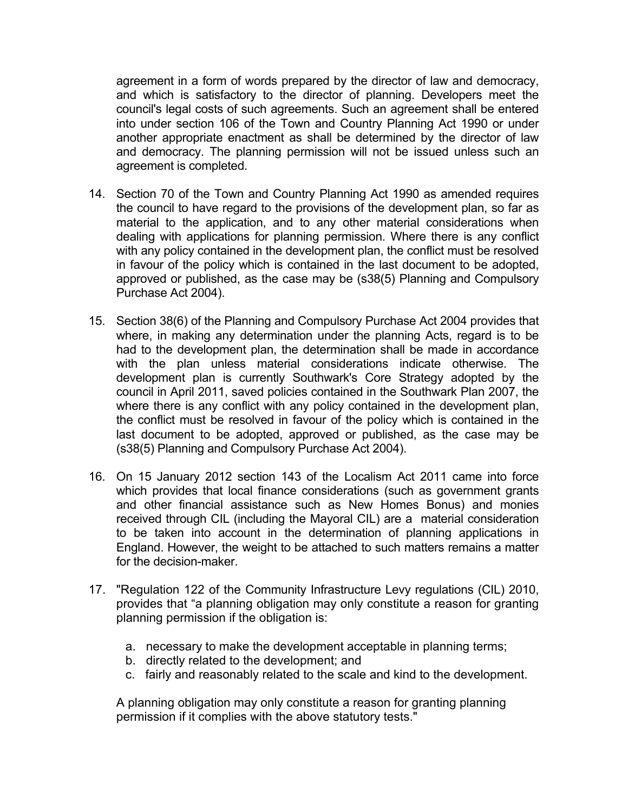agreement in a form of words prepared by the director of law and democracy, and which is satisfactory to the director of planning. Developers meet the council's legal costs of such agreements. Such an agreement shall be entered into under section 106 of the Town and Country Planning Act 1990 or under another appropriate enactment as shall be determined by the director of law and democracy. The planning permission will not be issued unless such an agreement is completed.

- 14. Section 70 of the Town and Country Planning Act 1990 as amended requires the council to have regard to the provisions of the development plan, so far as material to the application, and to any other material considerations when dealing with applications for planning permission. Where there is any conflict with any policy contained in the development plan, the conflict must be resolved in favour of the policy which is contained in the last document to be adopted, approved or published, as the case may be (s38(5) Planning and Compulsory Purchase Act 2004).
- 15. Section 38(6) of the Planning and Compulsory Purchase Act 2004 provides that where, in making any determination under the planning Acts, regard is to be had to the development plan, the determination shall be made in accordance with the plan unless material considerations indicate otherwise. The development plan is currently Southwark's Core Strategy adopted by the council in April 2011, saved policies contained in the Southwark Plan 2007, the where there is any conflict with any policy contained in the development plan, the conflict must be resolved in favour of the policy which is contained in the last document to be adopted, approved or published, as the case may be (s38(5) Planning and Compulsory Purchase Act 2004).
- 16. On 15 January 2012 section 143 of the Localism Act 2011 came into force which provides that local finance considerations (such as government grants and other financial assistance such as New Homes Bonus) and monies received through CIL (including the Mayoral CIL) are a material consideration to be taken into account in the determination of planning applications in England. However, the weight to be attached to such matters remains a matter for the decision-maker.
- 17. "Regulation 122 of the Community Infrastructure Levy regulations (CIL) 2010, provides that "a planning obligation may only constitute a reason for granting planning permission if the obligation is:
	- a. necessary to make the development acceptable in planning terms;
	- b. directly related to the development; and
	- c. fairly and reasonably related to the scale and kind to the development.

A planning obligation may only constitute a reason for granting planning permission if it complies with the above statutory tests."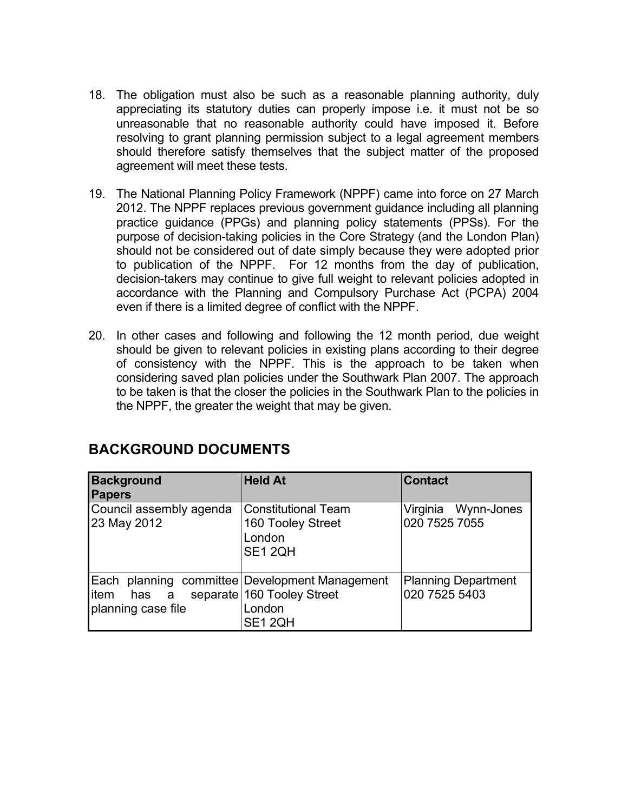- 18. The obligation must also be such as a reasonable planning authority, duly appreciating its statutory duties can properly impose i.e. it must not be so unreasonable that no reasonable authority could have imposed it. Before resolving to grant planning permission subject to a legal agreement members should therefore satisfy themselves that the subject matter of the proposed agreement will meet these tests.
- 19. The National Planning Policy Framework (NPPF) came into force on 27 March 2012. The NPPF replaces previous government guidance including all planning practice guidance (PPGs) and planning policy statements (PPSs). For the purpose of decision-taking policies in the Core Strategy (and the London Plan) should not be considered out of date simply because they were adopted prior to publication of the NPPF. For 12 months from the day of publication, decision-takers may continue to give full weight to relevant policies adopted in accordance with the Planning and Compulsory Purchase Act (PCPA) 2004 even if there is a limited degree of conflict with the NPPF.
- 20. In other cases and following and following the 12 month period, due weight should be given to relevant policies in existing plans according to their degree of consistency with the NPPF. This is the approach to be taken when considering saved plan policies under the Southwark Plan 2007. The approach to be taken is that the closer the policies in the Southwark Plan to the policies in the NPPF, the greater the weight that may be given.

| <b>Background</b><br><b>Papers</b>           | <b>Held At</b>                                                                               | <b>Contact</b>                              |
|----------------------------------------------|----------------------------------------------------------------------------------------------|---------------------------------------------|
| Council assembly agenda<br>23 May 2012       | <b>Constitutional Team</b><br>160 Tooley Street<br>London<br>SE1 2QH                         | Virginia Wynn-Jones<br>020 7525 7055        |
| Each<br>litem<br>has a<br>planning case file | planning committee Development Management<br>separate 160 Tooley Street<br>London<br>SE1 2QH | <b>Planning Department</b><br>020 7525 5403 |

#### **BACKGROUND DOCUMENTS**